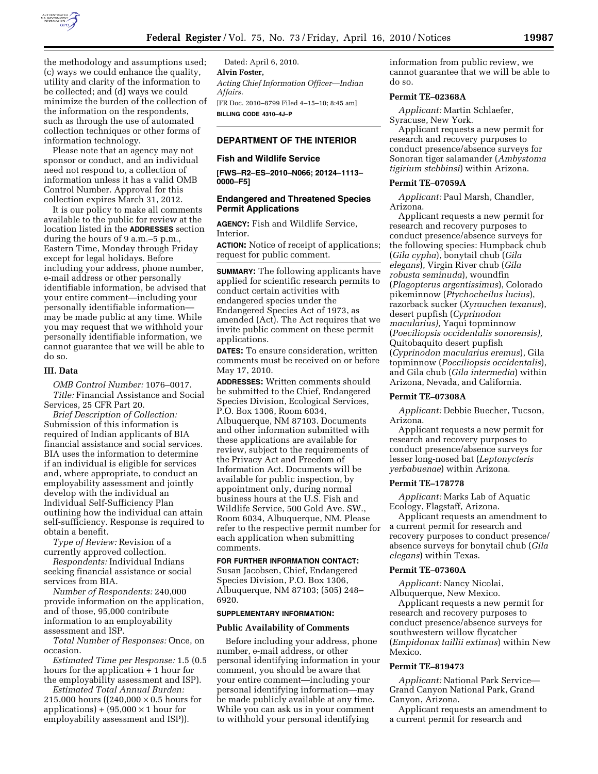

the methodology and assumptions used; (c) ways we could enhance the quality, utility and clarity of the information to be collected; and (d) ways we could minimize the burden of the collection of the information on the respondents, such as through the use of automated collection techniques or other forms of information technology.

Please note that an agency may not sponsor or conduct, and an individual need not respond to, a collection of information unless it has a valid OMB Control Number. Approval for this collection expires March 31, 2012.

It is our policy to make all comments available to the public for review at the location listed in the **ADDRESSES** section during the hours of 9 a.m.–5 p.m., Eastern Time, Monday through Friday except for legal holidays. Before including your address, phone number, e-mail address or other personally identifiable information, be advised that your entire comment—including your personally identifiable information may be made public at any time. While you may request that we withhold your personally identifiable information, we cannot guarantee that we will be able to do so.

## **III. Data**

*OMB Control Number:* 1076–0017. *Title:* Financial Assistance and Social Services, 25 CFR Part 20.

*Brief Description of Collection:*  Submission of this information is required of Indian applicants of BIA financial assistance and social services. BIA uses the information to determine if an individual is eligible for services and, where appropriate, to conduct an employability assessment and jointly develop with the individual an Individual Self-Sufficiency Plan outlining how the individual can attain self-sufficiency. Response is required to obtain a benefit.

*Type of Review:* Revision of a currently approved collection.

*Respondents:* Individual Indians seeking financial assistance or social services from BIA.

*Number of Respondents:* 240,000 provide information on the application, and of those, 95,000 contribute information to an employability assessment and ISP.

*Total Number of Responses:* Once, on occasion.

*Estimated Time per Response:* 1.5 (0.5 hours for the application + 1 hour for the employability assessment and ISP).

*Estimated Total Annual Burden:*  215,000 hours ( $(240,000 \times 0.5)$  hours for applications) +  $(95,000 \times 1$  hour for employability assessment and ISP)).

Dated: April 6, 2010. **Alvin Foster,**  *Acting Chief Information Officer—Indian Affairs.*  [FR Doc. 2010–8799 Filed 4–15–10; 8:45 am] **BILLING CODE 4310–4J–P** 

## **DEPARTMENT OF THE INTERIOR**

#### **Fish and Wildlife Service**

**[FWS–R2–ES–2010–N066; 20124–1113– 0000–F5]** 

# **Endangered and Threatened Species Permit Applications**

**AGENCY:** Fish and Wildlife Service, Interior.

**ACTION:** Notice of receipt of applications; request for public comment.

**SUMMARY:** The following applicants have applied for scientific research permits to conduct certain activities with endangered species under the Endangered Species Act of 1973, as amended (Act). The Act requires that we invite public comment on these permit applications.

**DATES:** To ensure consideration, written comments must be received on or before May 17, 2010.

**ADDRESSES:** Written comments should be submitted to the Chief, Endangered Species Division, Ecological Services, P.O. Box 1306, Room 6034, Albuquerque, NM 87103. Documents and other information submitted with these applications are available for review, subject to the requirements of the Privacy Act and Freedom of Information Act. Documents will be available for public inspection, by appointment only, during normal business hours at the U.S. Fish and Wildlife Service, 500 Gold Ave. SW., Room 6034, Albuquerque, NM. Please refer to the respective permit number for each application when submitting comments.

## **FOR FURTHER INFORMATION CONTACT:**

Susan Jacobsen, Chief, Endangered Species Division, P.O. Box 1306, Albuquerque, NM 87103; (505) 248– 6920.

#### **SUPPLEMENTARY INFORMATION:**

### **Public Availability of Comments**

Before including your address, phone number, e-mail address, or other personal identifying information in your comment, you should be aware that your entire comment—including your personal identifying information—may be made publicly available at any time. While you can ask us in your comment to withhold your personal identifying

information from public review, we cannot guarantee that we will be able to do so.

### **Permit TE–02368A**

*Applicant:* Martin Schlaefer, Syracuse, New York.

Applicant requests a new permit for research and recovery purposes to conduct presence/absence surveys for Sonoran tiger salamander (*Ambystoma tigirium stebbinsi*) within Arizona.

#### **Permit TE–07059A**

*Applicant:* Paul Marsh, Chandler, Arizona.

Applicant requests a new permit for research and recovery purposes to conduct presence/absence surveys for the following species: Humpback chub (*Gila cypha*), bonytail chub (*Gila elegans*), Virgin River chub (*Gila robusta seminuda*), woundfin (*Plagopterus argentissimus*), Colorado pikeminnow (*Ptychocheilus lucius*), razorback sucker (*Xyrauchen texanus*), desert pupfish (*Cyprinodon macularius),* Yaqui topminnow (*Poeciliopsis occidentalis sonorensis),*  Quitobaquito desert pupfish (*Cyprinodon macularius eremus*), Gila topminnow (*Poeciliopsis occidentalis*), and Gila chub (*Gila intermedia*) within Arizona, Nevada, and California.

## **Permit TE–07308A**

*Applicant:* Debbie Buecher, Tucson, Arizona.

Applicant requests a new permit for research and recovery purposes to conduct presence/absence surveys for lesser long-nosed bat (*Leptonycteris yerbabuenae*) within Arizona.

### **Permit TE–178778**

*Applicant:* Marks Lab of Aquatic Ecology, Flagstaff, Arizona.

Applicant requests an amendment to a current permit for research and recovery purposes to conduct presence/ absence surveys for bonytail chub (*Gila elegans*) within Texas.

### **Permit TE–07360A**

*Applicant:* Nancy Nicolai, Albuquerque, New Mexico.

Applicant requests a new permit for research and recovery purposes to conduct presence/absence surveys for southwestern willow flycatcher (*Empidonax taillii extimus*) within New Mexico.

## **Permit TE–819473**

*Applicant:* National Park Service— Grand Canyon National Park, Grand Canyon, Arizona.

Applicant requests an amendment to a current permit for research and